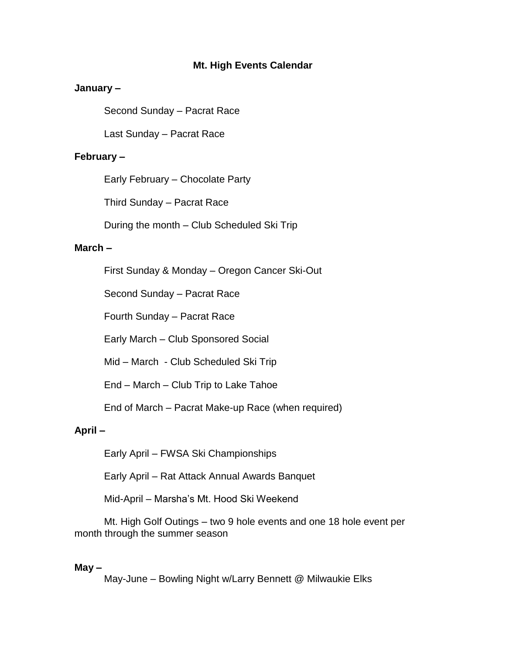# **Mt. High Events Calendar**

# **January –**

Second Sunday – Pacrat Race

Last Sunday – Pacrat Race

# **February –**

Early February – Chocolate Party

Third Sunday – Pacrat Race

During the month – Club Scheduled Ski Trip

### **March –**

First Sunday & Monday – Oregon Cancer Ski-Out

Second Sunday – Pacrat Race

Fourth Sunday – Pacrat Race

Early March – Club Sponsored Social

Mid – March - Club Scheduled Ski Trip

End – March – Club Trip to Lake Tahoe

End of March – Pacrat Make-up Race (when required)

#### **April –**

Early April – FWSA Ski Championships

Early April – Rat Attack Annual Awards Banquet

Mid-April – Marsha's Mt. Hood Ski Weekend

Mt. High Golf Outings – two 9 hole events and one 18 hole event per month through the summer season

### **May –**

May-June – Bowling Night w/Larry Bennett @ Milwaukie Elks